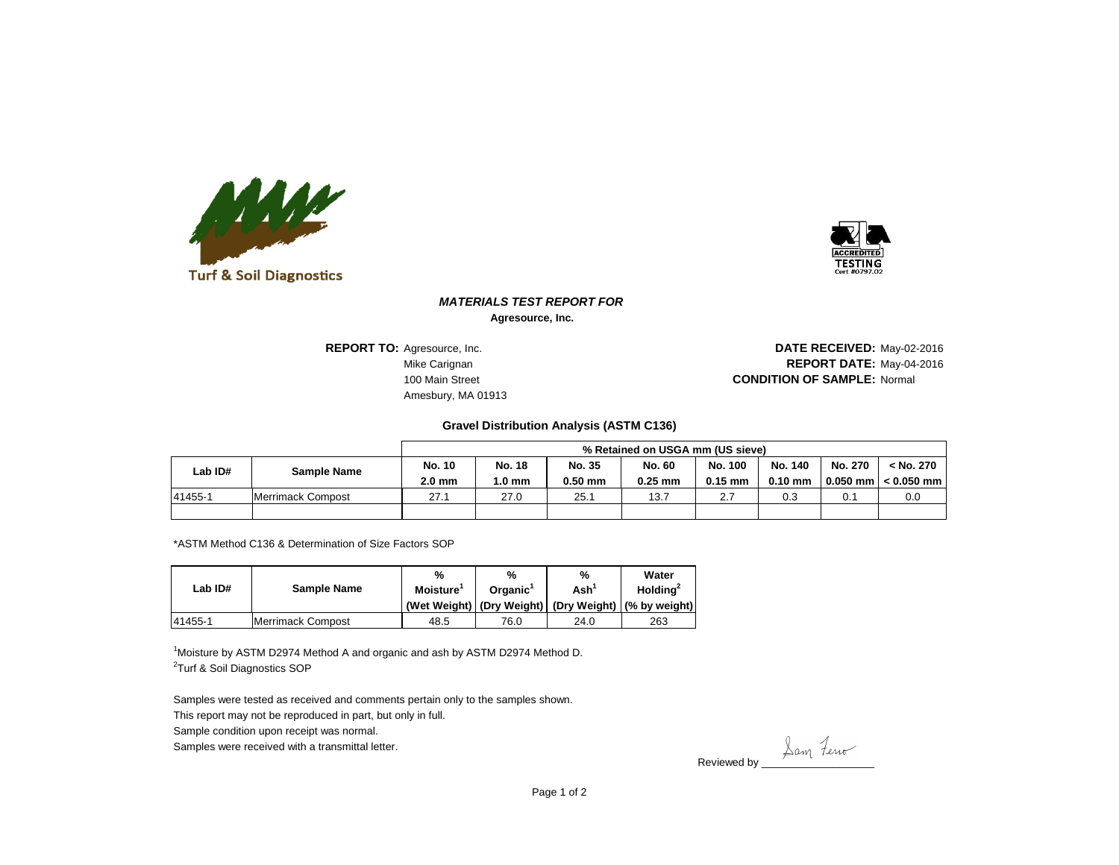



## *MATERIALS TEST REPORT FOR* **Agresource, Inc.**

**REPORT TO: Agresource, Inc.** Amesbury, MA 01913

**Mike Carignan** May-04-2016 **REPORT DATE:** May-04-2016 100 Main Street **Normal Street Accord 200 Main Street Accord 200 Main Street Accord 200 Main Street Accord 200 Main Street Accord 200 Main Street Accord 200 Main Street Accord 200 Main Street Accord 200 Main Street Accord** DATE RECEIVED: May-02-2016

## **Gravel Distribution Analysis (ASTM C136)**

|         |                    | % Retained on USGA mm (US sieve) |               |           |               |           |           |            |              |  |  |
|---------|--------------------|----------------------------------|---------------|-----------|---------------|-----------|-----------|------------|--------------|--|--|
| Lab ID# | <b>Sample Name</b> | <b>No. 10</b>                    | <b>No. 18</b> | No. 35    | <b>No. 60</b> | No. 100   | No. 140   | No. 270    | < No. 270    |  |  |
|         |                    | $2.0 \text{ mm}$                 | 1.0 mm        | $0.50$ mm | $0.25$ mm     | $0.15$ mm | $0.10$ mm | $0.050$ mm | $< 0.050$ mm |  |  |
| 41455-1 | Merrimack Compost  | 27.1                             | 27.0          | 25.1      | 13.7          | 2.7       | 0.3       | 0.1        | 0.0          |  |  |
|         |                    |                                  |               |           |               |           |           |            |              |  |  |

\*ASTM Method C136 & Determination of Size Factors SOP

|         |                    | %                                 | %    | %                           | Water                                                |  |
|---------|--------------------|-----------------------------------|------|-----------------------------|------------------------------------------------------|--|
| Lab ID# | <b>Sample Name</b> | Moisture'<br>Organic <sup>1</sup> |      | $\mathsf{Ash}^{\mathsf{T}}$ | Holding $2$                                          |  |
|         |                    |                                   |      |                             | (Wet Weight) (Dry Weight) (Dry Weight) (% by weight) |  |
| 41455-1 | Merrimack Compost  | 48.5                              | 76.0 | 24.0                        | 263                                                  |  |

<sup>1</sup>Moisture by ASTM D2974 Method A and organic and ash by ASTM D2974 Method D. <sup>2</sup>Turf & Soil Diagnostics SOP

Samples were tested as received and comments pertain only to the samples shown.

This report may not be reproduced in part, but only in full.

Sample condition upon receipt was normal.

Samples were received with a transmittal letter.

Reviewed by <u>Lam</u> Ferro

Page 1 of 2